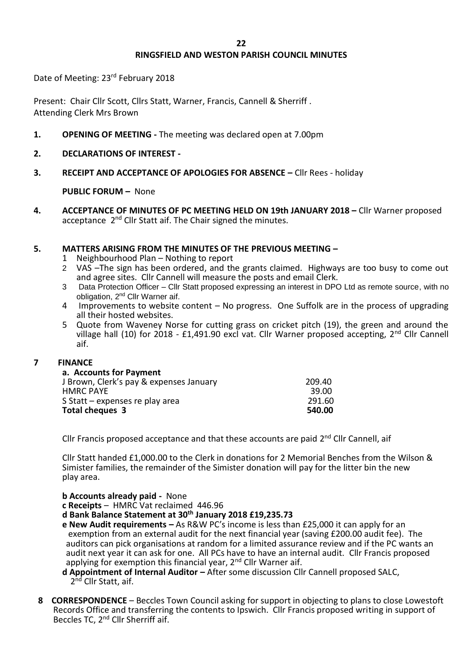# **RINGSFIELD AND WESTON PARISH COUNCIL MINUTES**

Date of Meeting: 23rd February 2018

Present: Chair Cllr Scott, Cllrs Statt, Warner, Francis, Cannell & Sherriff . Attending Clerk Mrs Brown

- **1. OPENING OF MEETING -** The meeting was declared open at 7.00pm
- **2. DECLARATIONS OF INTEREST**
- **3. RECEIPT AND ACCEPTANCE OF APOLOGIES FOR ABSENCE –** Cllr Rees holiday

**PUBLIC FORUM –** None

**4. ACCEPTANCE OF MINUTES OF PC MEETING HELD ON 19th JANUARY 2018 –** Cllr Warner proposed acceptance 2<sup>nd</sup> Cllr Statt aif. The Chair signed the minutes.

### **5. MATTERS ARISING FROM THE MINUTES OF THE PREVIOUS MEETING –**

- 1 Neighbourhood Plan Nothing to report
- 2 VAS –The sign has been ordered, and the grants claimed. Highways are too busy to come out and agree sites. Cllr Cannell will measure the posts and email Clerk.
- 3 Data Protection Officer Cllr Statt proposed expressing an interest in DPO Ltd as remote source, with no obligation, 2<sup>nd</sup> Cllr Warner aif.
- 4 Improvements to website content No progress. One Suffolk are in the process of upgrading all their hosted websites.
- 5 Quote from Waveney Norse for cutting grass on cricket pitch (19), the green and around the village hall (10) for 2018 - £1,491.90 excl vat. Cllr Warner proposed accepting, 2<sup>nd</sup> Cllr Cannell aif.

#### **7 FINANCE**

| a. Accounts for Payment                 |        |
|-----------------------------------------|--------|
| J Brown, Clerk's pay & expenses January | 209.40 |
| <b>HMRC PAYE</b>                        | 39.00  |
| S Statt – expenses re play area         | 291.60 |
| <b>Total cheques 3</b>                  | 540.00 |

Cllr Francis proposed acceptance and that these accounts are paid 2<sup>nd</sup> Cllr Cannell, aif

Cllr Statt handed £1,000.00 to the Clerk in donations for 2 Memorial Benches from the Wilson & Simister families, the remainder of the Simister donation will pay for the litter bin the new play area.

#### **b Accounts already paid -** None

- **c Receipts** HMRC Vat reclaimed 446.96
- **d Bank Balance Statement at 30th January 2018 £19,235.73**
- **e New Audit requirements –** As R&W PC's income is less than £25,000 it can apply for an exemption from an external audit for the next financial year (saving £200.00 audit fee). The auditors can pick organisations at random for a limited assurance review and if the PC wants an audit next year it can ask for one. All PCs have to have an internal audit. Cllr Francis proposed applying for exemption this financial year,  $2<sup>nd</sup>$  Cllr Warner aif.
- **d Appointment of Internal Auditor –** After some discussion Cllr Cannell proposed SALC, 2<sup>nd</sup> Cllr Statt, aif.
- **8 CORRESPONDENCE** Beccles Town Council asking for support in objecting to plans to close Lowestoft Records Office and transferring the contents to Ipswich. Cllr Francis proposed writing in support of Beccles TC, 2<sup>nd</sup> Cllr Sherriff aif.